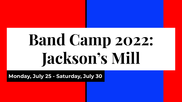# **Band Camp 2022: Jackson's Mill**

**Monday, July 25 - Saturday, July 30**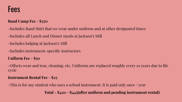## Fees

#### **Band Camp Fee - \$370**

- -Includes Band Shirt that we wear under uniform and at other designated times
- -Includes all Lunch and Dinner meals at Jackson's Mill
- -Includes lodging at Jackson's Mill
- -Includes instrument-specific instructors

#### **Uniform Fee - \$50**

-Offsets wear and tear, cleaning, etc. Uniforms are replaced roughly every 10 years due to life cycle

#### **Instrument Rental Fee - \$25**

-This is for any student who uses a school instrument. It is paid only once / year

**Total - \$420 - \$445(after uniform and pending instrument rental)**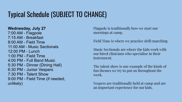# Typical Schedule (SUBJECT TO CHANGE)

**Wednesday, July 27** 7:00 AM - Flagpole 7:15 AM - Breakfast 8:00 AM - Field Time 11:00 AM - Music Sectionals 12:00 PM - Lunch 1:00 PM - Field Time 4:00 PM - Full Band Music 5:30 PM - Dinner (Dining Hall) 6:30 PM - Junior Vespers 7:30 PM - Talent Show 9:00 PM - Field Time (if needed, unlikely)

Flagpole is traditionally how we start our mornings at camp.

Field Time is where we practice drill/marching.

Music Sectionals are where the kids work with our hired clinicians who specialize in their instrument.

The talent show is one example of the kinds of fun themes we try to put on throughout the week.

Vespers are traditionally held at camp and are an important experience for our kids.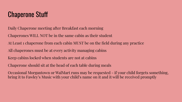## Chaperone Stuff

Daily Chaperone meeting after Breakfast each morning

Chaperones WILL NOT be in the same cabin as their student

At Least 1 chaperone from each cabin MUST be on the field during any practice

All chaperones must be at every activity managing cabins

Keep cabins locked when students are not at cabins

Chaperone should sit at the head of each table during meals

Occasional Morgantown or WalMart runs may be requested - if your child forgets something, bring it to Fawley's Music with your child's name on it and it will be received promptly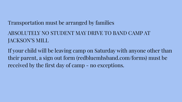### Transportation must be arranged by families

## ABSOLUTELY NO STUDENT MAY DRIVE TO BAND CAMP AT JACKSON'S MILL

If your child will be leaving camp on Saturday with anyone other than their parent, a sign out form (redbluemhsband.com/forms) must be received by the first day of camp - no exceptions.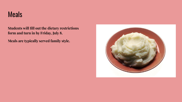## Meals

**Students will fill out the dietary restrictions form and turn in by Friday, July 8.** 

**Meals are typically served family style.**

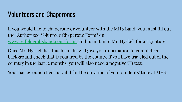## Volunteers and Chaperones

If you would like to chaperone or volunteer with the MHS Band, you must fill out the "Authorized Volunteer Chaperone Form" on [www.redbluemhsband.com/forms](http://www.redbluemhsband.com/forms) and turn it in to Mr. Hyskell for a signature.

Once Mr. Hyskell has this form, he will give you information to complete a background check that is required by the county. If you have traveled out of the country in the last 12 months, you will also need a negative TB test.

Your background check is valid for the duration of your students' time at MHS.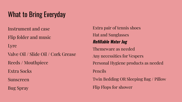# What to Bring Everyday

Instrument and case

Flip folder and music

Lyre

Valve Oil / Slide Oil / Cork Grease Reeds / Mouthpiece

Extra Socks

Sunscreen

Bug Spray

Extra pair of tennis shoes Hat and Sunglasses **Refillable Water Jug** Themeware as needed Any necessities for Vespers Personal Hygiene products as needed Pencils Twin Bedding OR Sleeping Bag / Pillow Flip Flops for shower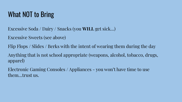# What NOT to Bring

- Excessive Soda / Dairy / Snacks (you **WILL** get sick…)
- Excessive Sweets (see above)
- Flip Flops / Slides / Berks with the intent of wearing them during the day
- Anything that is not school appropriate (weapons, alcohol, tobacco, drugs, apparel)
- Electronic Gaming Consoles / Appliances you won't have time to use them…trust us.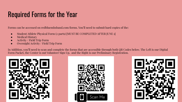# Required Forms for the Year

Forms can be accessed on redbluemhsband.com/forms. You'll need to submit hard copies of the:

- Student Athlete Physical Form (2 parts) [MUST BE COMPLETED AFTER JUNE 1]
- Medical History
- Activity / Field Trip Form
- Overnight Activity / Field Trip Form

In Addition, you'll need to scan and complete the forms that are accessible through both QR Codes below. The Left is our Digital Form Packet, the Center is out Volunteer Sign Up, and the Right is our Preliminary Registration.





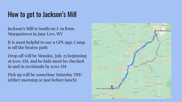## How to get to Jackson's Mill

Jackson's Mill is South on I-79 from Morgantown in Jane Lew, WV

It is most helpful to use a GPS app; Camp is off the beaten path

Drop off will be Monday, July 25 beginning at 6:00 AM, and he kids must be checked in and in sectionals by 9:00 AM

Pick up will be sometime Saturday TBD (either morning or just before lunch)